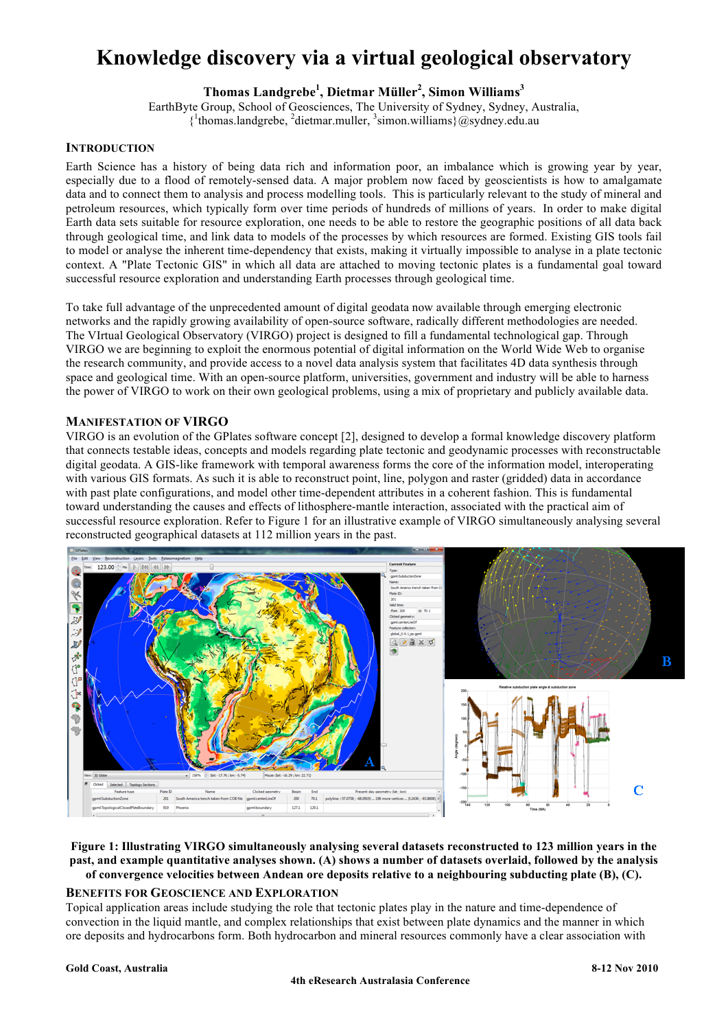# **Knowledge discovery via a virtual geological observatory**

# **Thomas Landgrebe<sup>1</sup> , Dietmar Müller<sup>2</sup> , Simon Williams<sup>3</sup>**

EarthByte Group, School of Geosciences, The University of Sydney, Sydney, Australia, {1 thomas.landgrebe, <sup>2</sup> dietmar.muller, <sup>3</sup> simon.williams}@sydney.edu.au

#### **INTRODUCTION**

Earth Science has a history of being data rich and information poor, an imbalance which is growing year by year, especially due to a flood of remotely-sensed data. A major problem now faced by geoscientists is how to amalgamate data and to connect them to analysis and process modelling tools. This is particularly relevant to the study of mineral and petroleum resources, which typically form over time periods of hundreds of millions of years. In order to make digital Earth data sets suitable for resource exploration, one needs to be able to restore the geographic positions of all data back through geological time, and link data to models of the processes by which resources are formed. Existing GIS tools fail to model or analyse the inherent time-dependency that exists, making it virtually impossible to analyse in a plate tectonic context. A "Plate Tectonic GIS" in which all data are attached to moving tectonic plates is a fundamental goal toward successful resource exploration and understanding Earth processes through geological time.

To take full advantage of the unprecedented amount of digital geodata now available through emerging electronic networks and the rapidly growing availability of open-source software, radically different methodologies are needed. The VIrtual Geological Observatory (VIRGO) project is designed to fill a fundamental technological gap. Through VIRGO we are beginning to exploit the enormous potential of digital information on the World Wide Web to organise the research community, and provide access to a novel data analysis system that facilitates 4D data synthesis through space and geological time. With an open-source platform, universities, government and industry will be able to harness the power of VIRGO to work on their own geological problems, using a mix of proprietary and publicly available data.

#### **MANIFESTATION OF VIRGO**

VIRGO is an evolution of the GPlates software concept [2], designed to develop a formal knowledge discovery platform that connects testable ideas, concepts and models regarding plate tectonic and geodynamic processes with reconstructable digital geodata. A GIS-like framework with temporal awareness forms the core of the information model, interoperating with various GIS formats. As such it is able to reconstruct point, line, polygon and raster (gridded) data in accordance with past plate configurations, and model other time-dependent attributes in a coherent fashion. This is fundamental toward understanding the causes and effects of lithosphere-mantle interaction, associated with the practical aim of successful resource exploration. Refer to Figure 1 for an illustrative example of VIRGO simultaneously analysing several reconstructed geographical datasets at 112 million years in the past.



#### **Figure 1: Illustrating VIRGO simultaneously analysing several datasets reconstructed to 123 million years in the past, and example quantitative analyses shown. (A) shows a number of datasets overlaid, followed by the analysis of convergence velocities between Andean ore deposits relative to a neighbouring subducting plate (B), (C).**

#### **BENEFITS FOR GEOSCIENCE AND EXPLORATION**

Topical application areas include studying the role that tectonic plates play in the nature and time-dependence of convection in the liquid mantle, and complex relationships that exist between plate dynamics and the manner in which ore deposits and hydrocarbons form. Both hydrocarbon and mineral resources commonly have a clear association with